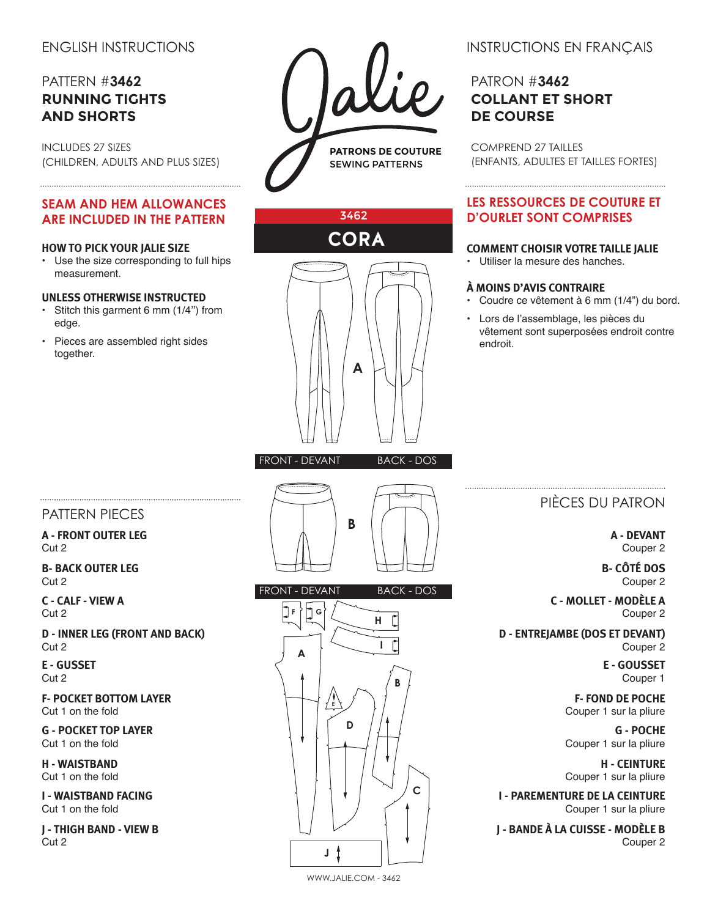# ENGLISH INSTRUCTIONS

# PATTERN #**3462 RUNNING TIGHTS AND SHORTS**

INCLUDES 27 SIZES (CHILDREN, ADULTS AND PLUS SIZES)

### **SEAM AND HEM ALLOWANCES ARE INCLUDED IN THE PATTERN**

#### **HOW TO PICK YOUR JALIE SIZE**

• Use the size corresponding to full hips measurement.

#### **UNLESS OTHERWISE INSTRUCTED**

• Stitch this garment 6 mm (1/4'') from edge.

• Pieces are assembled right sides together.



3462

**CORA**

**A**



# PATRON #**3462 COLLANT ET SHORT DE COURSE**

COMPREND 27 TAILLES (ENFANTS, ADULTES ET TAILLES FORTES)

### **LES RESSOURCES DE COUTURE ET D'OURLET SONT COMPRISES**

#### **COMMENT CHOISIR VOTRE TAILLE JALIE**

• Utiliser la mesure des hanches.

#### **À MOINS D'AVIS CONTRAIRE**

- Coudre ce vêtement à 6 mm (1/4") du bord.
- Lors de l'assemblage, les pièces du vêtement sont superposées endroit contre endroit.

# PATTERN PIECES

**A - FRONT OUTER LEG** Cut 2

**B- BACK OUTER LEG** Cut 2

**C - CALF - VIEW A** Cut 2

**D - INNER LEG (FRONT AND BACK)**  Cut 2

**E - GUSSET** Cut 2

**F- POCKET BOTTOM LAYER** Cut 1 on the fold

**G - POCKET TOP LAYER** Cut 1 on the fold

**H - WAISTBAND** Cut 1 on the fold

**I - WAISTBAND FACING** Cut 1 on the fold

**J - THIGH BAND - VIEW B** Cut 2





## PIÈCES DU PATRON

**A - DEVANT** Couper 2

**B- CÔTÉ DOS** Couper 2

**C - MOLLET - MODÈLE A** Couper 2

**D - ENTREJAMBE (DOS ET DEVANT)** Couper 2

> **E - GOUSSET** Couper 1

**F- FOND DE POCHE** Couper 1 sur la pliure

**G - POCHE** Couper 1 sur la pliure

**H - CEINTURE** Couper 1 sur la pliure

**I - PAREMENTURE DE LA CEINTURE** Couper 1 sur la pliure

**J - BANDE À LA CUISSE - MODÈLE B** Couper 2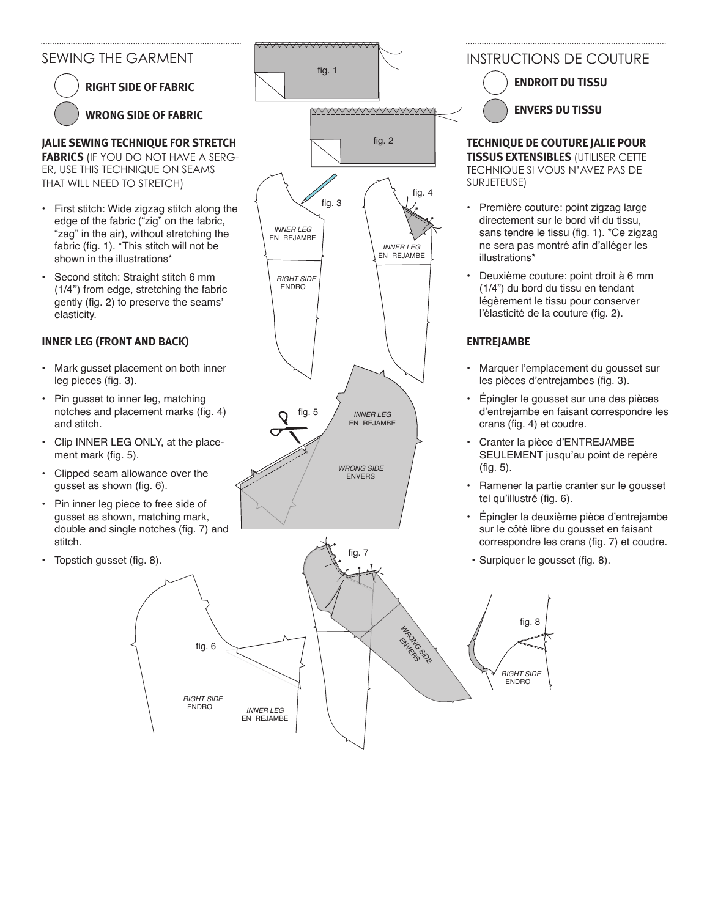## SEWING THE GARMENT

**RIGHT SIDE OF FABRIC WRONG SIDE OF FABRIC**

**JALIE SEWING TECHNIQUE FOR STRETCH** 

**FABRICS** (IF YOU DO NOT HAVE A SERG-ER, USE THIS TECHNIQUE ON SEAMS THAT WILL NEED TO STRETCH)

- • First stitch: Wide zigzag stitch along the edge of the fabric ("zig" on the fabric, "zag" in the air), without stretching the fabric (fig. 1). \*This stitch will not be shown in the illustrations\*
- • Second stitch: Straight stitch 6 mm (1/4'') from edge, stretching the fabric gently (fig. 2) to preserve the seams' elasticity.

### **INNER LEG (FRONT AND BACK)**

- • Mark gusset placement on both inner leg pieces (fig. 3).
- Pin gusset to inner leg, matching notches and placement marks (fig. 4) and stitch.
- Clip INNER LEG ONLY, at the placement mark (fig. 5).
- • Clipped seam allowance over the gusset as shown (fig. 6).
- • Pin inner leg piece to free side of gusset as shown, matching mark, double and single notches (fig. 7) and stitch.
- Topstich gusset (fig. 8).

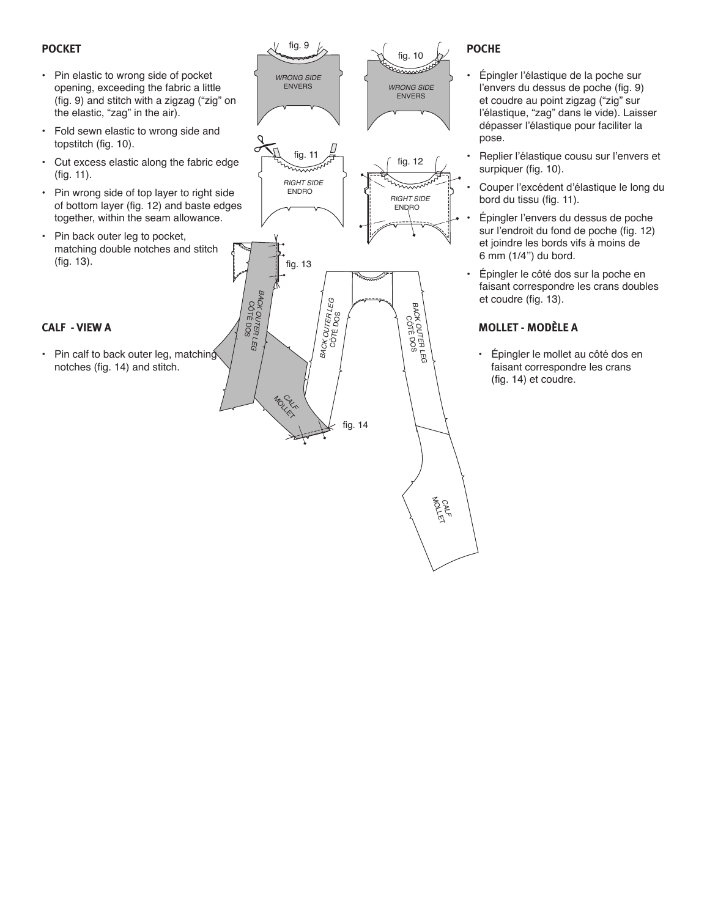### **POCKET**

- • Pin elastic to wrong side of pocket opening, exceeding the fabric a little (fig. 9) and stitch with a zigzag ("zig" on the elastic, "zag" in the air).
- • Fold sewn elastic to wrong side and topstitch (fig. 10).
- • Cut excess elastic along the fabric edge (fig. 11).
- • Pin wrong side of top layer to right side of bottom layer (fig. 12) and baste edges together, within the seam allowance.
- • Pin back outer leg to pocket, matching double notches and stitch (fig. 13).

#### **CALF - VIEW A**

• Pin calf to back outer leg, matching notches (fig. 14) and stitch.



### **POCHE**

- • Épingler l'élastique de la poche sur l'envers du dessus de poche (fig. 9) et coudre au point zigzag ("zig" sur l'élastique, "zag" dans le vide). Laisser dépasser l'élastique pour faciliter la pose.
- Replier l'élastique cousu sur l'envers et surpiquer (fig. 10).
- Couper l'excédent d'élastique le long du bord du tissu (fig. 11).
- Épingler l'envers du dessus de poche sur l'endroit du fond de poche (fig. 12) et joindre les bords vifs à moins de 6 mm (1/4'') du bord.
- • Épingler le côté dos sur la poche en faisant correspondre les crans doubles et coudre (fig. 13).

## **MOLLET - MODÈLE A**

• Épingler le mollet au côté dos en faisant correspondre les crans (fig. 14) et coudre.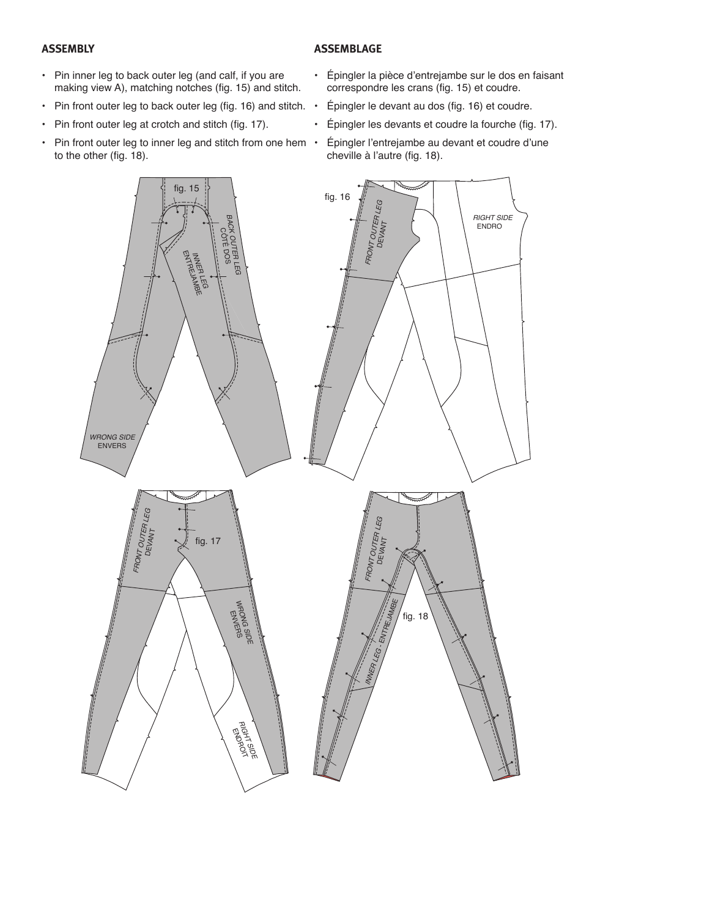#### **ASSEMBLY**

#### **ASSEMBLAGE**

- Pin inner leg to back outer leg (and calf, if you are making view A), matching notches (fig. 15) and stitch.
- Pin front outer leg to back outer leg (fig. 16) and stitch.  $\cdot$
- Pin front outer leg at crotch and stitch (fig. 17).
- $\cdot$  Pin front outer leg to inner leg and stitch from one hem  $\cdot$ to the other (fig. 18).
- • Épingler la pièce d'entrejambe sur le dos en faisant correspondre les crans (fig. 15) et coudre.
	- Épingler le devant au dos (fig. 16) et coudre.
- • Épingler les devants et coudre la fourche (fig. 17).
	- Épingler l'entrejambe au devant et coudre d'une cheville à l'autre (fig. 18).

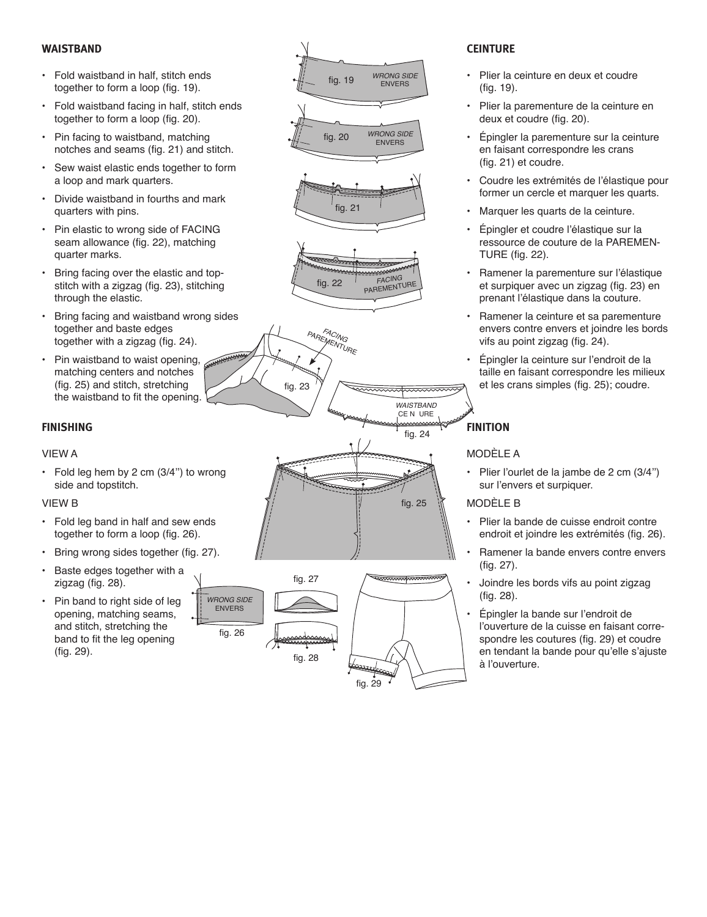#### **WAISTBAND**

- • Fold waistband in half, stitch ends together to form a loop (fig. 19).
- • Fold waistband facing in half, stitch ends together to form a loop (fig. 20).
- Pin facing to waistband, matching notches and seams (fig. 21) and stitch.
- • Sew waist elastic ends together to form a loop and mark quarters.
- • Divide waistband in fourths and mark quarters with pins.
- • Pin elastic to wrong side of FACING seam allowance (fig. 22), matching quarter marks.
- • Bring facing over the elastic and topstitch with a zigzag (fig. 23), stitching through the elastic.
- • Bring facing and waistband wrong sides together and baste edges together with a zigzag (fig. 24).
- • Pin waistband to waist opening, matching centers and notches (fig. 25) and stitch, stretching the waistband to fit the opening.

#### **FINISHING**

#### VIEW A

• Fold leg hem by 2 cm  $(3/4)$  to wrong side and topstitch.

#### VIEW B

- • Fold leg band in half and sew ends together to form a loop (fig. 26).
- • Bring wrong sides together (fig. 27).
- • Baste edges together with a zigzag (fig. 28).
- Pin band to right side of leg opening, matching seams, and stitch, stretching the band to fit the leg opening (fig. 29).



fig. 23





PAREMENTURE



- • Plier la ceinture en deux et coudre (fig. 19).
- • Plier la parementure de la ceinture en deux et coudre (fig. 20).
- • Épingler la parementure sur la ceinture en faisant correspondre les crans (fig. 21) et coudre.
- • Coudre les extrémités de l'élastique pour former un cercle et marquer les quarts.
- Marquer les quarts de la ceinture.
- • Épingler et coudre l'élastique sur la ressource de couture de la PAREMEN-TURE (fig. 22).
- Ramener la parementure sur l'élastique et surpiquer avec un zigzag (fig. 23) en prenant l'élastique dans la couture.
- Ramener la ceinture et sa parementure envers contre envers et joindre les bords vifs au point zigzag (fig. 24).
- • Épingler la ceinture sur l'endroit de la taille en faisant correspondre les milieux et les crans simples (fig. 25); coudre.

## **FINITION**

fig. 24

*WAISTBAND* CE N URE

sadasassassa

fig. 25

www.www

fig. 29

#### MODÈLE A

• Plier l'ourlet de la jambe de 2 cm (3/4'') sur l'envers et surpiquer.

#### MODÈLE B

- • Plier la bande de cuisse endroit contre endroit et joindre les extrémités (fig. 26).
- Ramener la bande envers contre envers (fig. 27).
- Joindre les bords vifs au point zigzag (fig. 28).
- Épingler la bande sur l'endroit de l'ouverture de la cuisse en faisant correspondre les coutures (fig. 29) et coudre en tendant la bande pour qu'elle s'ajuste à l'ouverture.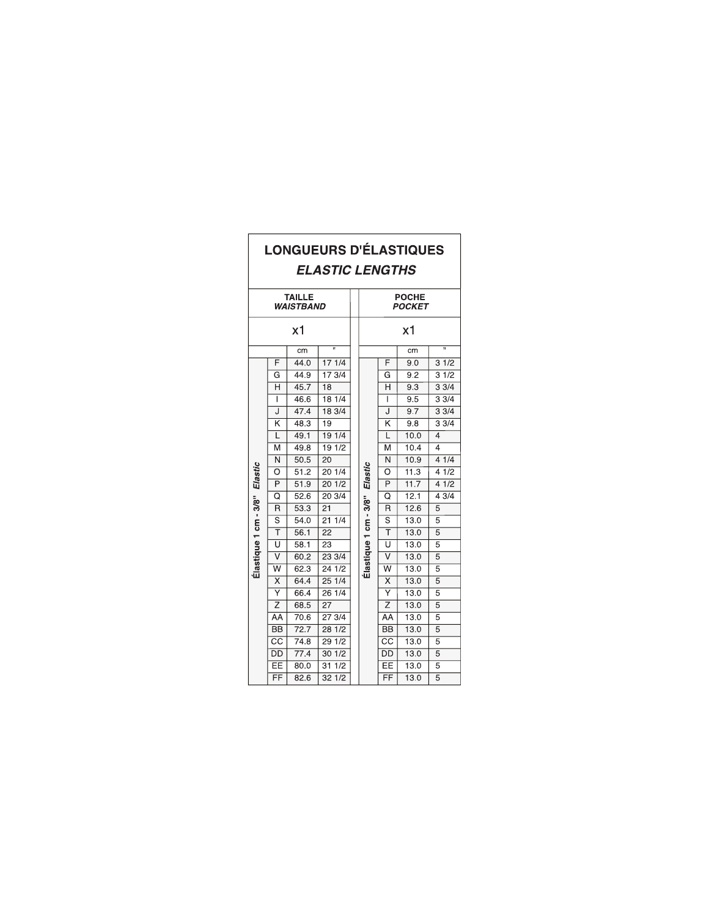| <b>LONGUEURS D'ÉLASTIQUES</b><br><b>ELASTIC LENGTHS</b> |                         |      |                 |                       |                               |                         |      |                |  |
|---------------------------------------------------------|-------------------------|------|-----------------|-----------------------|-------------------------------|-------------------------|------|----------------|--|
| <b>TAILLE</b><br><b>WAISTBAND</b>                       |                         |      |                 |                       | <b>POCHE</b><br><b>POCKET</b> |                         |      |                |  |
| х1                                                      |                         |      |                 |                       | х1                            |                         |      |                |  |
| π<br>cm                                                 |                         |      |                 |                       | π<br>cm                       |                         |      |                |  |
| Élastique 1 cm - 3/8" Elastic                           | F                       | 44.0 | 171/4           |                       | F                             | 9.0                     | 31/2 |                |  |
|                                                         | G                       | 44.9 | 173/4           |                       |                               | G                       | 9.2  | 31/2           |  |
|                                                         | Н                       | 45.7 | $\overline{18}$ |                       | H                             | 9.3                     | 33/4 |                |  |
|                                                         | I                       | 46.6 | 181/4           |                       |                               | I                       | 9.5  | 33/4           |  |
|                                                         | J                       | 47.4 | 183/4           |                       |                               | J                       | 9.7  | 33/4           |  |
|                                                         | $\overline{\mathsf{k}}$ | 48.3 | $\overline{19}$ |                       |                               | $\overline{\mathsf{k}}$ | 9.8  | 33/4           |  |
|                                                         | L                       | 49.1 | 191/4           | Elastic               |                               | L                       | 10.0 | 4              |  |
|                                                         | M                       | 49.8 | 191/2           |                       |                               | M                       | 10.4 | 4              |  |
|                                                         | $\overline{\mathsf{N}}$ | 50.5 | 20              |                       |                               | Ñ                       | 10.9 | 41/4           |  |
|                                                         | O                       | 51.2 | 20 1/4          |                       |                               | O                       | 11.3 | 41/2           |  |
|                                                         | P                       | 51.9 | 201/2           |                       |                               | P                       | 11.7 | 41/2           |  |
|                                                         | $\overline{\rm o}$      | 52.6 | 203/4           |                       |                               | $\overline{\text{o}}$   | 12.1 | 43/4           |  |
|                                                         | R                       | 53.3 | $\overline{21}$ | Elastique 1 cm - 3/8" |                               | $\overline{\mathsf{R}}$ | 12.6 | 5              |  |
|                                                         | $\overline{\mathsf{s}}$ | 54.0 | 211/4           |                       |                               | $\overline{s}$          | 13.0 | 5              |  |
|                                                         | ₸                       | 56.1 | $\overline{22}$ |                       |                               | $\overline{\top}$       | 13.0 | 5              |  |
|                                                         | Ū                       | 58.1 | 23              |                       | Ū                             | 13.0                    | 5    |                |  |
|                                                         | $\overline{\mathsf{v}}$ | 60.2 | 23 3/4          |                       |                               | $\overline{\mathsf{v}}$ | 13.0 | 5              |  |
|                                                         | $\overline{\mathsf{w}}$ | 62.3 | 24 1/2          |                       | $\overline{\mathsf{w}}$       | 13.0                    | 5    |                |  |
|                                                         | X                       | 64.4 | 25 1/4          |                       |                               | X                       | 13.0 | 5              |  |
|                                                         | $\overline{\mathsf{Y}}$ | 66.4 | 261/4           |                       |                               | $\overline{\mathsf{Y}}$ | 13.0 | 5              |  |
|                                                         | $\overline{z}$          | 68.5 | 27              |                       |                               | $\overline{z}$          | 13.0 | 5              |  |
|                                                         | AA                      | 70.6 | 273/4           |                       |                               | AA                      | 13.0 | 5              |  |
|                                                         | <b>BB</b>               | 72.7 | 281/2           |                       |                               | <b>BB</b>               | 13.0 | 5              |  |
|                                                         | $\overline{cc}$         | 74.8 | 291/2           |                       |                               | $\overline{\text{cc}}$  | 13.0 | 5              |  |
|                                                         | $\overline{DD}$         | 77.4 | 301/2           |                       |                               | $\overline{DD}$         | 13.0 | 5              |  |
|                                                         | EE                      | 80.0 | 311/2           |                       |                               | EE                      | 13.0 | 5              |  |
|                                                         | FF                      | 82.6 | 321/2           |                       |                               | FF                      | 13.0 | $\overline{5}$ |  |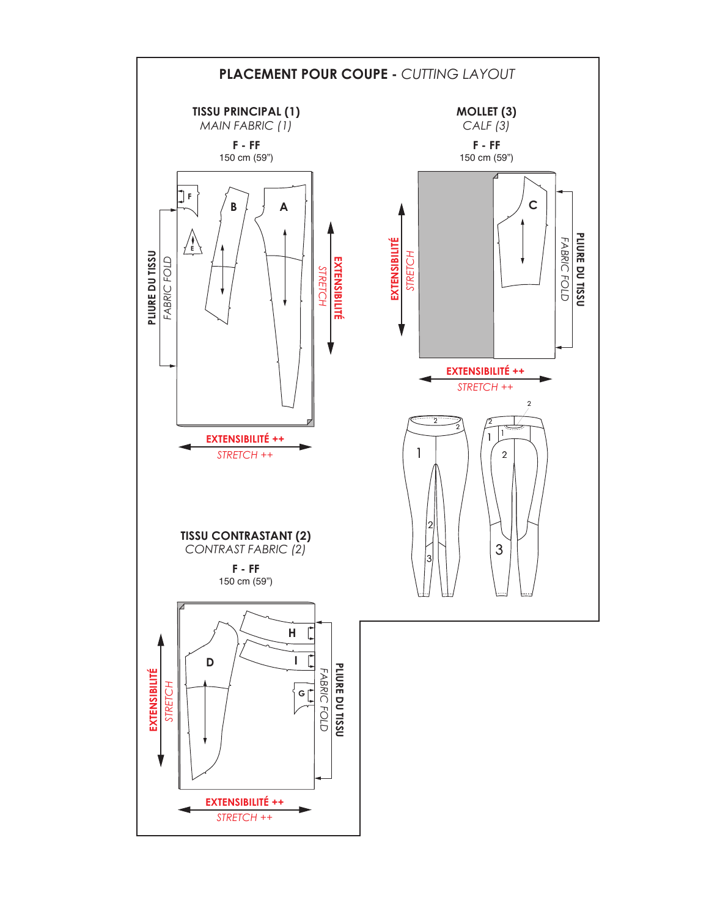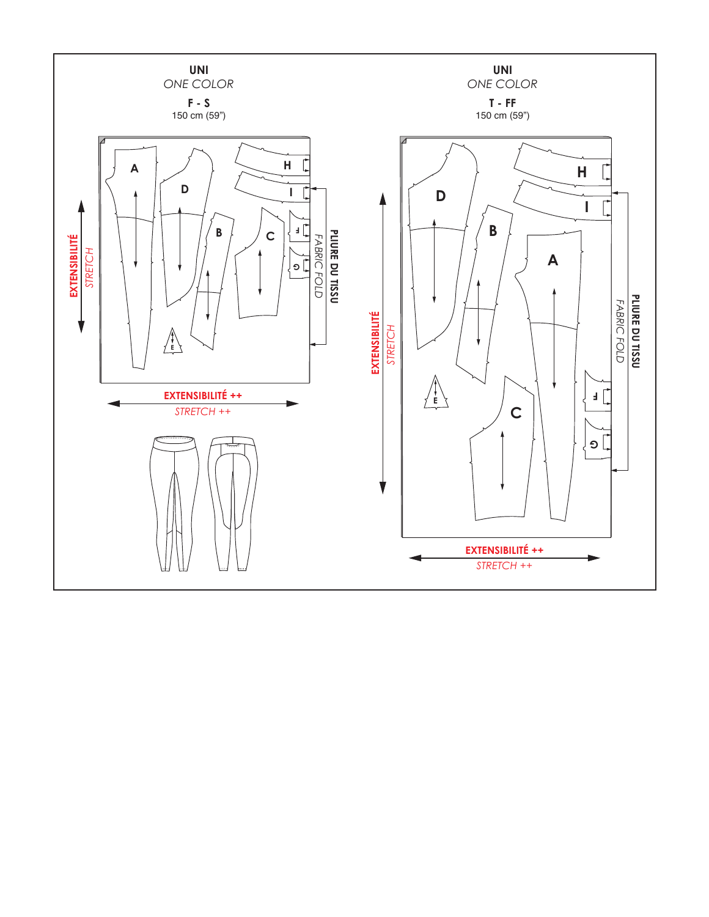